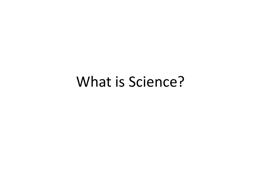## What is Science?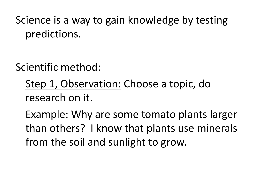Science is a way to gain knowledge by testing predictions.

Scientific method:

Step 1, Observation: Choose a topic, do research on it.

Example: Why are some tomato plants larger than others? I know that plants use minerals from the soil and sunlight to grow.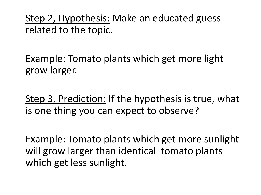Step 2, Hypothesis: Make an educated guess related to the topic.

Example: Tomato plants which get more light grow larger.

Step 3, Prediction: If the hypothesis is true, what is one thing you can expect to observe?

Example: Tomato plants which get more sunlight will grow larger than identical tomato plants which get less sunlight.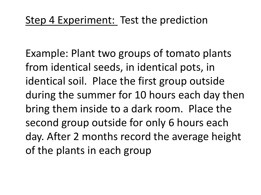Example: Plant two groups of tomato plants from identical seeds, in identical pots, in identical soil. Place the first group outside during the summer for 10 hours each day then bring them inside to a dark room. Place the second group outside for only 6 hours each day. After 2 months record the average height of the plants in each group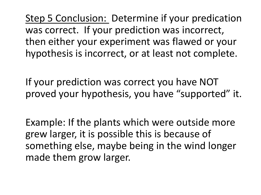Step 5 Conclusion: Determine if your predication was correct. If your prediction was incorrect, then either your experiment was flawed or your hypothesis is incorrect, or at least not complete.

If your prediction was correct you have NOT proved your hypothesis, you have "supported" it.

Example: If the plants which were outside more grew larger, it is possible this is because of something else, maybe being in the wind longer made them grow larger.